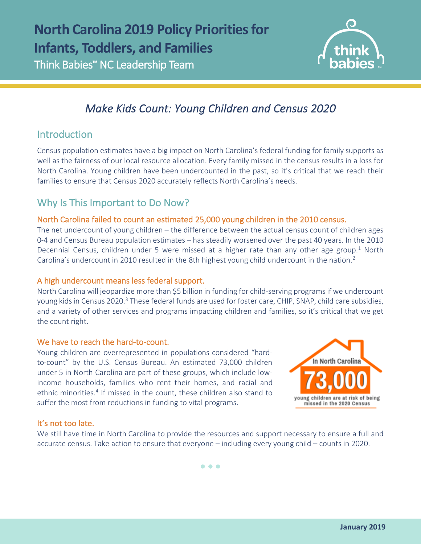

# *Make Kids Count: Young Children and Census 2020*

### Introduction

l

Census population estimates have a big impact on North Carolina's federal funding for family supports as well as the fairness of our local resource allocation. Every family missed in the census results in a loss for North Carolina. Young children have been undercounted in the past, so it's critical that we reach their families to ensure that Census 2020 accurately reflects North Carolina's needs.

## Why Is This Important to Do Now?

#### North Carolina failed to count an estimated 25,000 young children in the 2010 census.

The net undercount of young children – the difference between the actual census count of children ages 0-4 and Census Bureau population estimates – has steadily worsened over the past 40 years. In the 2010 Decennial Census, children under 5 were missed at a higher rate than any other age group.<sup>1</sup> North Carolina's undercount in 2010 resulted in the 8th highest young child undercount in the nation.2

#### A high undercount means less federal support.

North Carolina will jeopardize more than \$5 billion in funding for child-serving programs if we undercount young kids in Census 2020.<sup>3</sup> These federal funds are used for foster care, CHIP, SNAP, child care subsidies, and a variety of other services and programs impacting children and families, so it's critical that we get the count right.

#### We have to reach the hard-to-count.

Young children are overrepresented in populations considered "hardto-count" by the U.S. Census Bureau. An estimated 73,000 children under 5 in North Carolina are part of these groups, which include lowincome households, families who rent their homes, and racial and ethnic minorities.<sup>4</sup> If missed in the count, these children also stand to suffer the most from reductions in funding to vital programs.



### It's not too late.

We still have time in North Carolina to provide the resources and support necessary to ensure a full and accurate census. Take action to ensure that everyone – including every young child – counts in 2020.

• • •